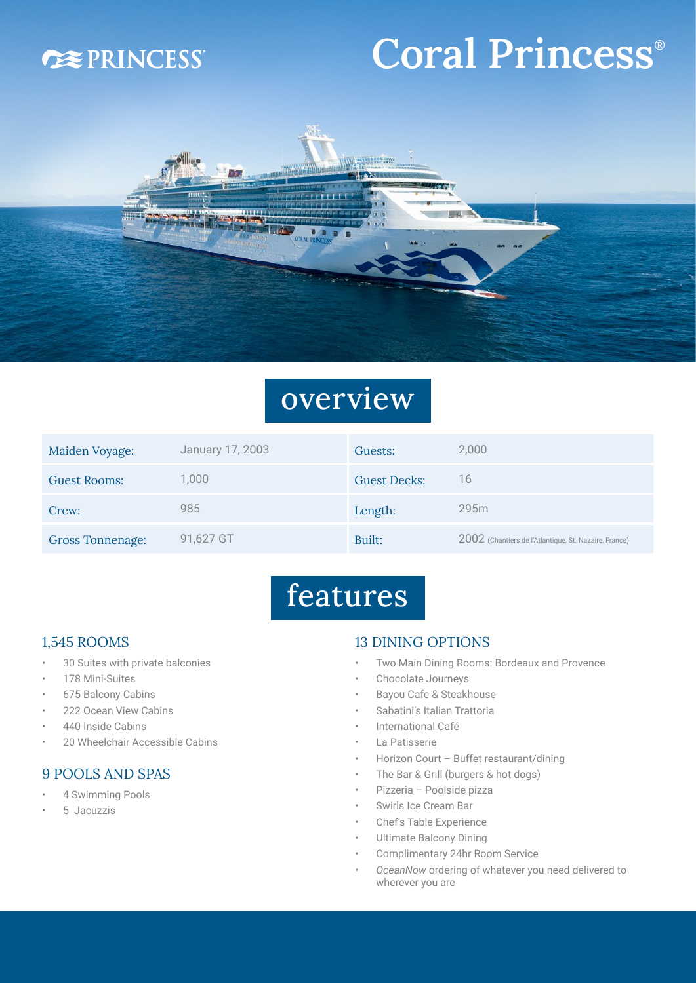### **DEPRINCESS**

# Coral Princess®



### overview

| Maiden Voyage:          | January 17, 2003 | Guests:             | 2,000                                                 |
|-------------------------|------------------|---------------------|-------------------------------------------------------|
| <b>Guest Rooms:</b>     | 1,000            | <b>Guest Decks:</b> | 16                                                    |
| Crew:                   | 985              | Length:             | 295m                                                  |
| <b>Gross Tonnenage:</b> | 91,627 GT        | Built:              | 2002 (Chantiers de l'Atlantique, St. Nazaire, France) |

## features

#### 1,545 ROOMS

- 30 Suites with private balconies
- 178 Mini-Suites
- 675 Balcony Cabins
- 222 Ocean View Cabins
- 440 Inside Cabins
- 20 Wheelchair Accessible Cabins

#### 9 POOLS AND SPAS

- 4 Swimming Pools
- 5 Jacuzzis

#### 13 DINING OPTIONS

- Two Main Dining Rooms: Bordeaux and Provence
- Chocolate Journeys
- Bayou Cafe & Steakhouse
- Sabatini's Italian Trattoria
- International Café
- La Patisserie
- Horizon Court Buffet restaurant/dining
- The Bar & Grill (burgers & hot dogs)
- Pizzeria Poolside pizza
- Swirls Ice Cream Bar
- Chef's Table Experience
- Ultimate Balcony Dining
- Complimentary 24hr Room Service
- *• OceanNow* ordering of whatever you need delivered to wherever you are